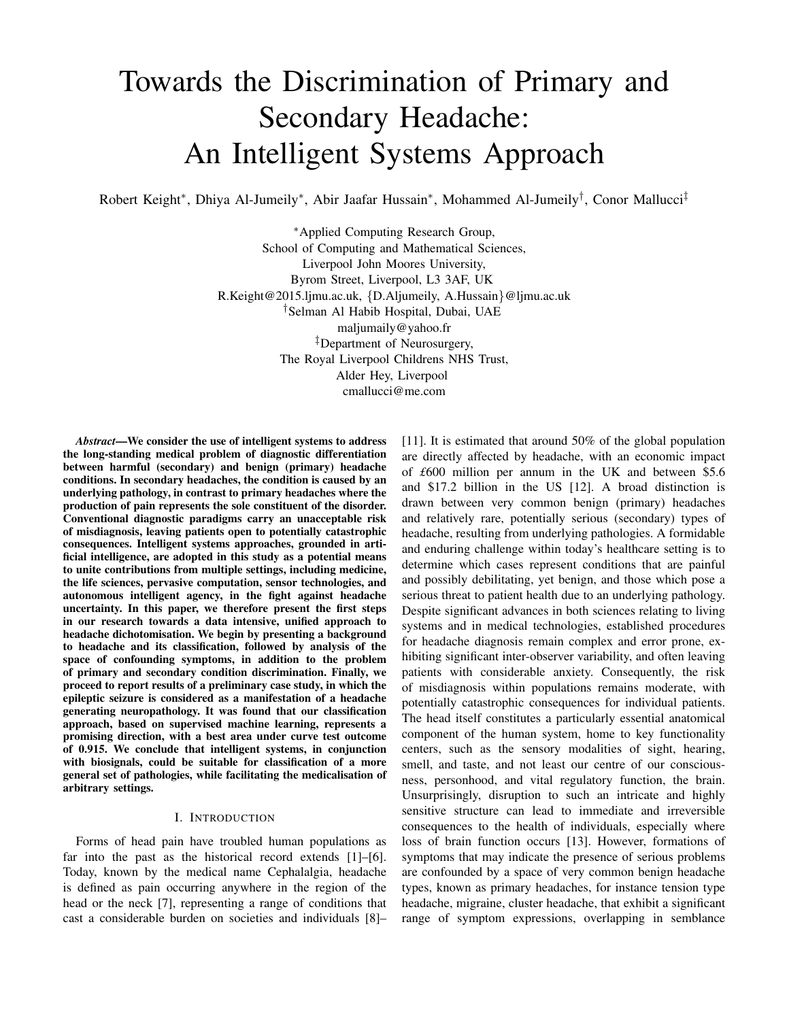# Towards the Discrimination of Primary and Secondary Headache: An Intelligent Systems Approach

Robert Keight\*, Dhiya Al-Jumeily\*, Abir Jaafar Hussain\*, Mohammed Al-Jumeily<sup>†</sup>, Conor Mallucci<sup>‡</sup>

<sup>∗</sup>Applied Computing Research Group, School of Computing and Mathematical Sciences, Liverpool John Moores University, Byrom Street, Liverpool, L3 3AF, UK R.Keight@2015.ljmu.ac.uk, {D.Aljumeily, A.Hussain}@ljmu.ac.uk †Selman Al Habib Hospital, Dubai, UAE maljumaily@yahoo.fr ‡Department of Neurosurgery, The Royal Liverpool Childrens NHS Trust, Alder Hey, Liverpool cmallucci@me.com

*Abstract*—We consider the use of intelligent systems to address the long-standing medical problem of diagnostic differentiation between harmful (secondary) and benign (primary) headache conditions. In secondary headaches, the condition is caused by an underlying pathology, in contrast to primary headaches where the production of pain represents the sole constituent of the disorder. Conventional diagnostic paradigms carry an unacceptable risk of misdiagnosis, leaving patients open to potentially catastrophic consequences. Intelligent systems approaches, grounded in artificial intelligence, are adopted in this study as a potential means to unite contributions from multiple settings, including medicine, the life sciences, pervasive computation, sensor technologies, and autonomous intelligent agency, in the fight against headache uncertainty. In this paper, we therefore present the first steps in our research towards a data intensive, unified approach to headache dichotomisation. We begin by presenting a background to headache and its classification, followed by analysis of the space of confounding symptoms, in addition to the problem of primary and secondary condition discrimination. Finally, we proceed to report results of a preliminary case study, in which the epileptic seizure is considered as a manifestation of a headache generating neuropathology. It was found that our classification approach, based on supervised machine learning, represents a promising direction, with a best area under curve test outcome of 0.915. We conclude that intelligent systems, in conjunction with biosignals, could be suitable for classification of a more general set of pathologies, while facilitating the medicalisation of arbitrary settings.

#### I. INTRODUCTION

Forms of head pain have troubled human populations as far into the past as the historical record extends [1]–[6]. Today, known by the medical name Cephalalgia, headache is defined as pain occurring anywhere in the region of the head or the neck [7], representing a range of conditions that cast a considerable burden on societies and individuals [8]– [11]. It is estimated that around 50% of the global population are directly affected by headache, with an economic impact of *£*600 million per annum in the UK and between \$5.6 and \$17.2 billion in the US [12]. A broad distinction is drawn between very common benign (primary) headaches and relatively rare, potentially serious (secondary) types of headache, resulting from underlying pathologies. A formidable and enduring challenge within today's healthcare setting is to determine which cases represent conditions that are painful and possibly debilitating, yet benign, and those which pose a serious threat to patient health due to an underlying pathology. Despite significant advances in both sciences relating to living systems and in medical technologies, established procedures for headache diagnosis remain complex and error prone, exhibiting significant inter-observer variability, and often leaving patients with considerable anxiety. Consequently, the risk of misdiagnosis within populations remains moderate, with potentially catastrophic consequences for individual patients. The head itself constitutes a particularly essential anatomical component of the human system, home to key functionality centers, such as the sensory modalities of sight, hearing, smell, and taste, and not least our centre of our consciousness, personhood, and vital regulatory function, the brain. Unsurprisingly, disruption to such an intricate and highly sensitive structure can lead to immediate and irreversible consequences to the health of individuals, especially where loss of brain function occurs [13]. However, formations of symptoms that may indicate the presence of serious problems are confounded by a space of very common benign headache types, known as primary headaches, for instance tension type headache, migraine, cluster headache, that exhibit a significant range of symptom expressions, overlapping in semblance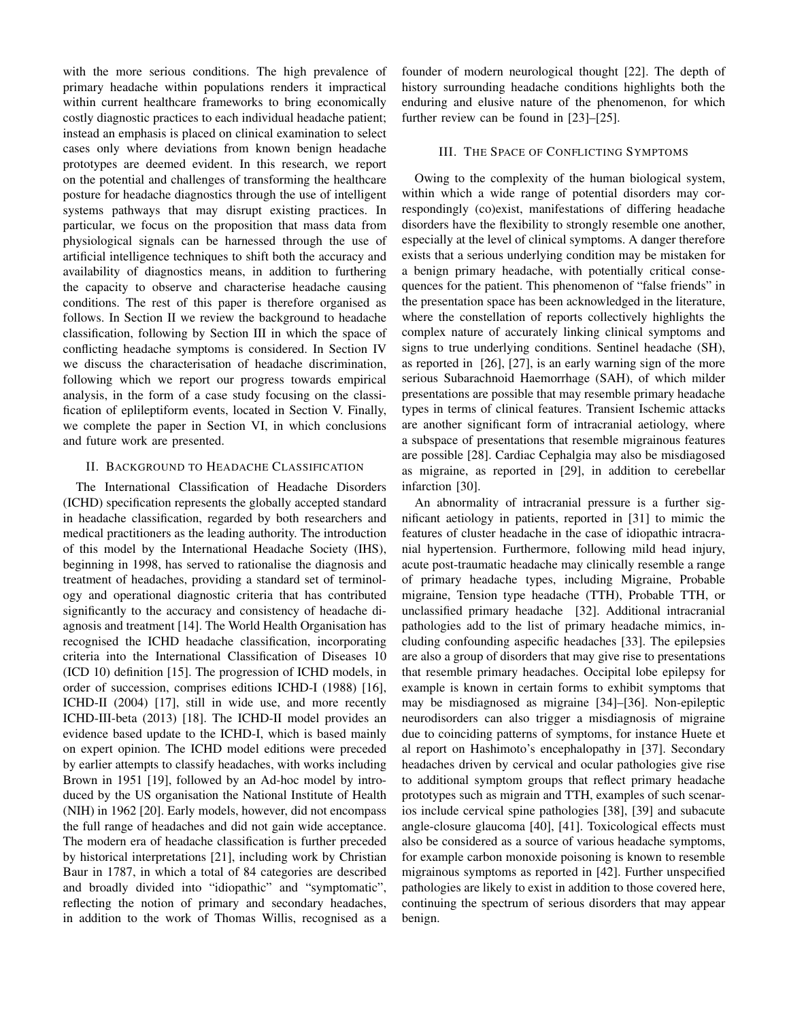with the more serious conditions. The high prevalence of primary headache within populations renders it impractical within current healthcare frameworks to bring economically costly diagnostic practices to each individual headache patient; instead an emphasis is placed on clinical examination to select cases only where deviations from known benign headache prototypes are deemed evident. In this research, we report on the potential and challenges of transforming the healthcare posture for headache diagnostics through the use of intelligent systems pathways that may disrupt existing practices. In particular, we focus on the proposition that mass data from physiological signals can be harnessed through the use of artificial intelligence techniques to shift both the accuracy and availability of diagnostics means, in addition to furthering the capacity to observe and characterise headache causing conditions. The rest of this paper is therefore organised as follows. In Section II we review the background to headache classification, following by Section III in which the space of conflicting headache symptoms is considered. In Section IV we discuss the characterisation of headache discrimination, following which we report our progress towards empirical analysis, in the form of a case study focusing on the classification of eplileptiform events, located in Section V. Finally, we complete the paper in Section VI, in which conclusions and future work are presented.

### II. BACKGROUND TO HEADACHE CLASSIFICATION

The International Classification of Headache Disorders (ICHD) specification represents the globally accepted standard in headache classification, regarded by both researchers and medical practitioners as the leading authority. The introduction of this model by the International Headache Society (IHS), beginning in 1998, has served to rationalise the diagnosis and treatment of headaches, providing a standard set of terminology and operational diagnostic criteria that has contributed significantly to the accuracy and consistency of headache diagnosis and treatment [14]. The World Health Organisation has recognised the ICHD headache classification, incorporating criteria into the International Classification of Diseases 10 (ICD 10) definition [15]. The progression of ICHD models, in order of succession, comprises editions ICHD-I (1988) [16], ICHD-II (2004) [17], still in wide use, and more recently ICHD-III-beta (2013) [18]. The ICHD-II model provides an evidence based update to the ICHD-I, which is based mainly on expert opinion. The ICHD model editions were preceded by earlier attempts to classify headaches, with works including Brown in 1951 [19], followed by an Ad-hoc model by introduced by the US organisation the National Institute of Health (NIH) in 1962 [20]. Early models, however, did not encompass the full range of headaches and did not gain wide acceptance. The modern era of headache classification is further preceded by historical interpretations [21], including work by Christian Baur in 1787, in which a total of 84 categories are described and broadly divided into "idiopathic" and "symptomatic", reflecting the notion of primary and secondary headaches, in addition to the work of Thomas Willis, recognised as a founder of modern neurological thought [22]. The depth of history surrounding headache conditions highlights both the enduring and elusive nature of the phenomenon, for which further review can be found in [23]–[25].

#### III. THE SPACE OF CONFLICTING SYMPTOMS

Owing to the complexity of the human biological system, within which a wide range of potential disorders may correspondingly (co)exist, manifestations of differing headache disorders have the flexibility to strongly resemble one another, especially at the level of clinical symptoms. A danger therefore exists that a serious underlying condition may be mistaken for a benign primary headache, with potentially critical consequences for the patient. This phenomenon of "false friends" in the presentation space has been acknowledged in the literature, where the constellation of reports collectively highlights the complex nature of accurately linking clinical symptoms and signs to true underlying conditions. Sentinel headache (SH), as reported in [26], [27], is an early warning sign of the more serious Subarachnoid Haemorrhage (SAH), of which milder presentations are possible that may resemble primary headache types in terms of clinical features. Transient Ischemic attacks are another significant form of intracranial aetiology, where a subspace of presentations that resemble migrainous features are possible [28]. Cardiac Cephalgia may also be misdiagosed as migraine, as reported in [29], in addition to cerebellar infarction [30].

An abnormality of intracranial pressure is a further significant aetiology in patients, reported in [31] to mimic the features of cluster headache in the case of idiopathic intracranial hypertension. Furthermore, following mild head injury, acute post-traumatic headache may clinically resemble a range of primary headache types, including Migraine, Probable migraine, Tension type headache (TTH), Probable TTH, or unclassified primary headache [32]. Additional intracranial pathologies add to the list of primary headache mimics, including confounding aspecific headaches [33]. The epilepsies are also a group of disorders that may give rise to presentations that resemble primary headaches. Occipital lobe epilepsy for example is known in certain forms to exhibit symptoms that may be misdiagnosed as migraine [34]–[36]. Non-epileptic neurodisorders can also trigger a misdiagnosis of migraine due to coinciding patterns of symptoms, for instance Huete et al report on Hashimoto's encephalopathy in [37]. Secondary headaches driven by cervical and ocular pathologies give rise to additional symptom groups that reflect primary headache prototypes such as migrain and TTH, examples of such scenarios include cervical spine pathologies [38], [39] and subacute angle-closure glaucoma [40], [41]. Toxicological effects must also be considered as a source of various headache symptoms, for example carbon monoxide poisoning is known to resemble migrainous symptoms as reported in [42]. Further unspecified pathologies are likely to exist in addition to those covered here, continuing the spectrum of serious disorders that may appear benign.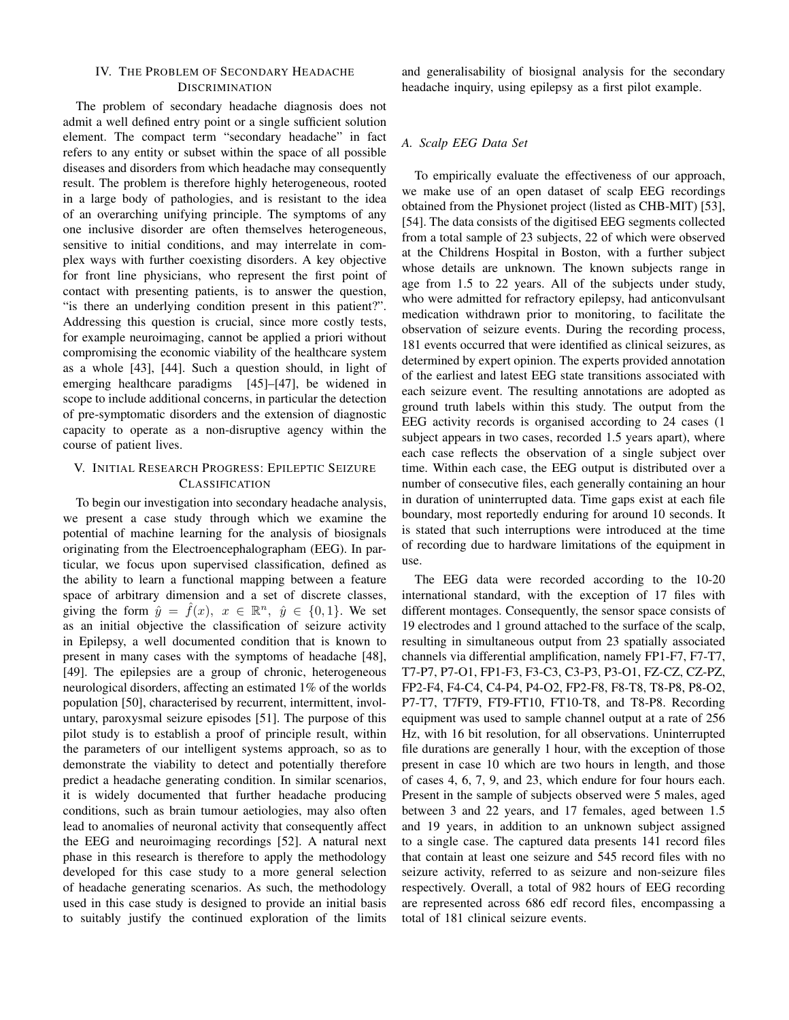## IV. THE PROBLEM OF SECONDARY HEADACHE **DISCRIMINATION**

The problem of secondary headache diagnosis does not admit a well defined entry point or a single sufficient solution element. The compact term "secondary headache" in fact refers to any entity or subset within the space of all possible diseases and disorders from which headache may consequently result. The problem is therefore highly heterogeneous, rooted in a large body of pathologies, and is resistant to the idea of an overarching unifying principle. The symptoms of any one inclusive disorder are often themselves heterogeneous, sensitive to initial conditions, and may interrelate in complex ways with further coexisting disorders. A key objective for front line physicians, who represent the first point of contact with presenting patients, is to answer the question, "is there an underlying condition present in this patient?". Addressing this question is crucial, since more costly tests, for example neuroimaging, cannot be applied a priori without compromising the economic viability of the healthcare system as a whole [43], [44]. Such a question should, in light of emerging healthcare paradigms [45]–[47], be widened in scope to include additional concerns, in particular the detection of pre-symptomatic disorders and the extension of diagnostic capacity to operate as a non-disruptive agency within the course of patient lives.

# V. INITIAL RESEARCH PROGRESS: EPILEPTIC SEIZURE **CLASSIFICATION**

To begin our investigation into secondary headache analysis, we present a case study through which we examine the potential of machine learning for the analysis of biosignals originating from the Electroencephalographam (EEG). In particular, we focus upon supervised classification, defined as the ability to learn a functional mapping between a feature space of arbitrary dimension and a set of discrete classes, giving the form  $\hat{y} = \hat{f}(x)$ ,  $x \in \mathbb{R}^n$ ,  $\hat{y} \in \{0, 1\}$ . We set as an initial objective the classification of seizure activity in Epilepsy, a well documented condition that is known to present in many cases with the symptoms of headache [48], [49]. The epilepsies are a group of chronic, heterogeneous neurological disorders, affecting an estimated 1% of the worlds population [50], characterised by recurrent, intermittent, involuntary, paroxysmal seizure episodes [51]. The purpose of this pilot study is to establish a proof of principle result, within the parameters of our intelligent systems approach, so as to demonstrate the viability to detect and potentially therefore predict a headache generating condition. In similar scenarios, it is widely documented that further headache producing conditions, such as brain tumour aetiologies, may also often lead to anomalies of neuronal activity that consequently affect the EEG and neuroimaging recordings [52]. A natural next phase in this research is therefore to apply the methodology developed for this case study to a more general selection of headache generating scenarios. As such, the methodology used in this case study is designed to provide an initial basis to suitably justify the continued exploration of the limits

and generalisability of biosignal analysis for the secondary headache inquiry, using epilepsy as a first pilot example.

# *A. Scalp EEG Data Set*

To empirically evaluate the effectiveness of our approach, we make use of an open dataset of scalp EEG recordings obtained from the Physionet project (listed as CHB-MIT) [53], [54]. The data consists of the digitised EEG segments collected from a total sample of 23 subjects, 22 of which were observed at the Childrens Hospital in Boston, with a further subject whose details are unknown. The known subjects range in age from 1.5 to 22 years. All of the subjects under study, who were admitted for refractory epilepsy, had anticonvulsant medication withdrawn prior to monitoring, to facilitate the observation of seizure events. During the recording process, 181 events occurred that were identified as clinical seizures, as determined by expert opinion. The experts provided annotation of the earliest and latest EEG state transitions associated with each seizure event. The resulting annotations are adopted as ground truth labels within this study. The output from the EEG activity records is organised according to 24 cases (1 subject appears in two cases, recorded 1.5 years apart), where each case reflects the observation of a single subject over time. Within each case, the EEG output is distributed over a number of consecutive files, each generally containing an hour in duration of uninterrupted data. Time gaps exist at each file boundary, most reportedly enduring for around 10 seconds. It is stated that such interruptions were introduced at the time of recording due to hardware limitations of the equipment in use.

The EEG data were recorded according to the 10-20 international standard, with the exception of 17 files with different montages. Consequently, the sensor space consists of 19 electrodes and 1 ground attached to the surface of the scalp, resulting in simultaneous output from 23 spatially associated channels via differential amplification, namely FP1-F7, F7-T7, T7-P7, P7-O1, FP1-F3, F3-C3, C3-P3, P3-O1, FZ-CZ, CZ-PZ, FP2-F4, F4-C4, C4-P4, P4-O2, FP2-F8, F8-T8, T8-P8, P8-O2, P7-T7, T7FT9, FT9-FT10, FT10-T8, and T8-P8. Recording equipment was used to sample channel output at a rate of 256 Hz, with 16 bit resolution, for all observations. Uninterrupted file durations are generally 1 hour, with the exception of those present in case 10 which are two hours in length, and those of cases 4, 6, 7, 9, and 23, which endure for four hours each. Present in the sample of subjects observed were 5 males, aged between 3 and 22 years, and 17 females, aged between 1.5 and 19 years, in addition to an unknown subject assigned to a single case. The captured data presents 141 record files that contain at least one seizure and 545 record files with no seizure activity, referred to as seizure and non-seizure files respectively. Overall, a total of 982 hours of EEG recording are represented across 686 edf record files, encompassing a total of 181 clinical seizure events.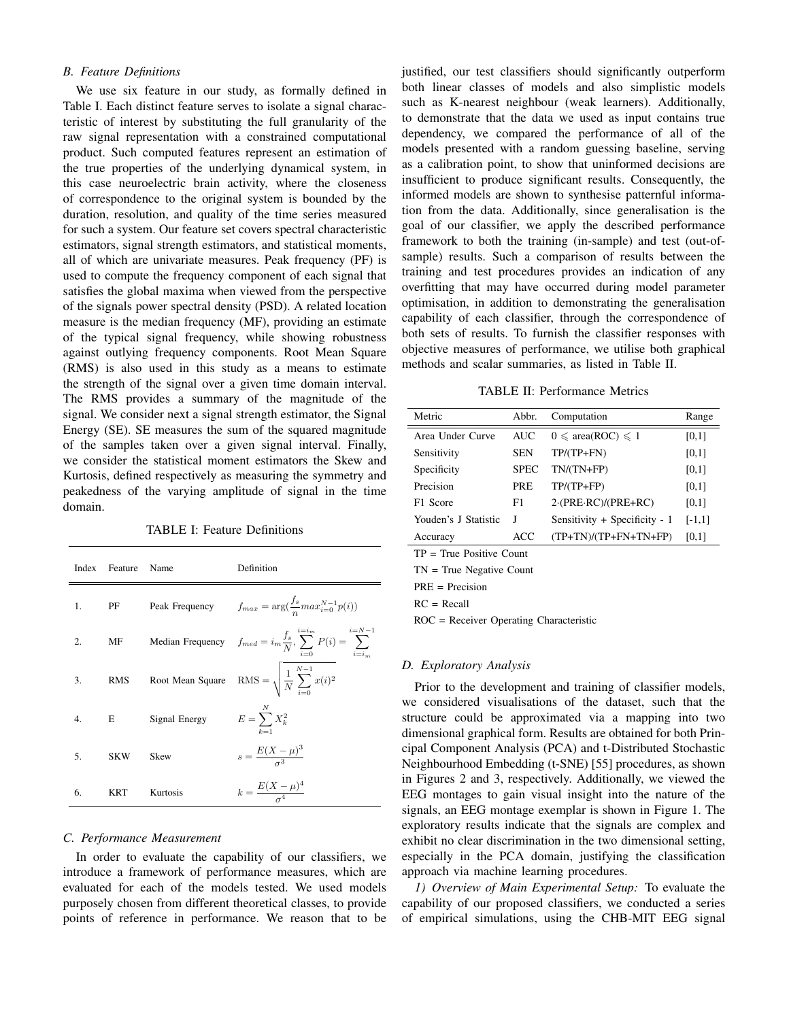# *B. Feature Definitions*

We use six feature in our study, as formally defined in Table I. Each distinct feature serves to isolate a signal characteristic of interest by substituting the full granularity of the raw signal representation with a constrained computational product. Such computed features represent an estimation of the true properties of the underlying dynamical system, in this case neuroelectric brain activity, where the closeness of correspondence to the original system is bounded by the duration, resolution, and quality of the time series measured for such a system. Our feature set covers spectral characteristic estimators, signal strength estimators, and statistical moments, all of which are univariate measures. Peak frequency (PF) is used to compute the frequency component of each signal that satisfies the global maxima when viewed from the perspective of the signals power spectral density (PSD). A related location measure is the median frequency (MF), providing an estimate of the typical signal frequency, while showing robustness against outlying frequency components. Root Mean Square (RMS) is also used in this study as a means to estimate the strength of the signal over a given time domain interval. The RMS provides a summary of the magnitude of the signal. We consider next a signal strength estimator, the Signal Energy (SE). SE measures the sum of the squared magnitude of the samples taken over a given signal interval. Finally, we consider the statistical moment estimators the Skew and Kurtosis, defined respectively as measuring the symmetry and peakedness of the varying amplitude of signal in the time domain.

TABLE I: Feature Definitions

| Index | Feature Name |                  | Definition                                                                                   |
|-------|--------------|------------------|----------------------------------------------------------------------------------------------|
| 1.    | PF           | Peak Frequency   | $f_{max} = \arg(\frac{f_s}{n} max_{i=0}^{N-1} p(i))$                                         |
| 2.    | MF           |                  | Median Frequency $f_{med} = i_m \frac{f_s}{N}, \sum_{i=1}^{i=i_m} P(i) = \sum_{i=1}^{i=N-i}$ |
| 3.    | <b>RMS</b>   | Root Mean Square | RMS = $\sqrt{\frac{1}{N} \sum_{i=0}^{N-1} x(i)^2}$                                           |
| 4.    | E            | Signal Energy    | $E = \sum^{N} X_k^2$<br>$k=1$                                                                |
| 5.    | <b>SKW</b>   | Skew             | $s = \frac{E(X - \mu)^3}{2}$                                                                 |
| 6.    | KRT          | Kurtosis         | $k = \frac{E(X - \mu)^4}{\sigma^4}$                                                          |

#### *C. Performance Measurement*

In order to evaluate the capability of our classifiers, we introduce a framework of performance measures, which are evaluated for each of the models tested. We used models purposely chosen from different theoretical classes, to provide points of reference in performance. We reason that to be

justified, our test classifiers should significantly outperform both linear classes of models and also simplistic models such as K-nearest neighbour (weak learners). Additionally, to demonstrate that the data we used as input contains true dependency, we compared the performance of all of the models presented with a random guessing baseline, serving as a calibration point, to show that uninformed decisions are insufficient to produce significant results. Consequently, the informed models are shown to synthesise patternful information from the data. Additionally, since generalisation is the goal of our classifier, we apply the described performance framework to both the training (in-sample) and test (out-ofsample) results. Such a comparison of results between the training and test procedures provides an indication of any overfitting that may have occurred during model parameter optimisation, in addition to demonstrating the generalisation capability of each classifier, through the correspondence of both sets of results. To furnish the classifier responses with objective measures of performance, we utilise both graphical methods and scalar summaries, as listed in Table II.

TABLE II: Performance Metrics

| Metric                     | Abbr.       | Computation                                       | Range    |  |  |
|----------------------------|-------------|---------------------------------------------------|----------|--|--|
| Area Under Curve           | <b>AUC</b>  | $0 \leqslant \text{area}(\text{ROC}) \leqslant 1$ | [0,1]    |  |  |
| Sensitivity                | <b>SEN</b>  | $TP/(TP+FN)$                                      | [0,1]    |  |  |
| Specificity                | <b>SPEC</b> | $TN/(TN+FP)$                                      | [0,1]    |  |  |
| Precision                  | <b>PRE</b>  | $TP/(TP+FP)$                                      | [0,1]    |  |  |
| F1 Score                   | F1          | $2 \cdot (PRE \cdot RC)/(PRE + RC)$               | [0,1]    |  |  |
| Youden's J Statistic       | I           | Sensitivity + Specificity - 1                     | $[-1,1]$ |  |  |
| Accuracy                   | ACC         | $(TP+TN)/(TP+FN+TN+FP)$                           | [0,1]    |  |  |
| $TP = True Positive Count$ |             |                                                   |          |  |  |

TN = True Negative Count PRE = Precision

 $RC = Recall$ 

ROC = Receiver Operating Characteristic

### *D. Exploratory Analysis*

Prior to the development and training of classifier models, we considered visualisations of the dataset, such that the structure could be approximated via a mapping into two dimensional graphical form. Results are obtained for both Principal Component Analysis (PCA) and t-Distributed Stochastic Neighbourhood Embedding (t-SNE) [55] procedures, as shown in Figures 2 and 3, respectively. Additionally, we viewed the EEG montages to gain visual insight into the nature of the signals, an EEG montage exemplar is shown in Figure 1. The exploratory results indicate that the signals are complex and exhibit no clear discrimination in the two dimensional setting, especially in the PCA domain, justifying the classification approach via machine learning procedures.

*1) Overview of Main Experimental Setup:* To evaluate the capability of our proposed classifiers, we conducted a series of empirical simulations, using the CHB-MIT EEG signal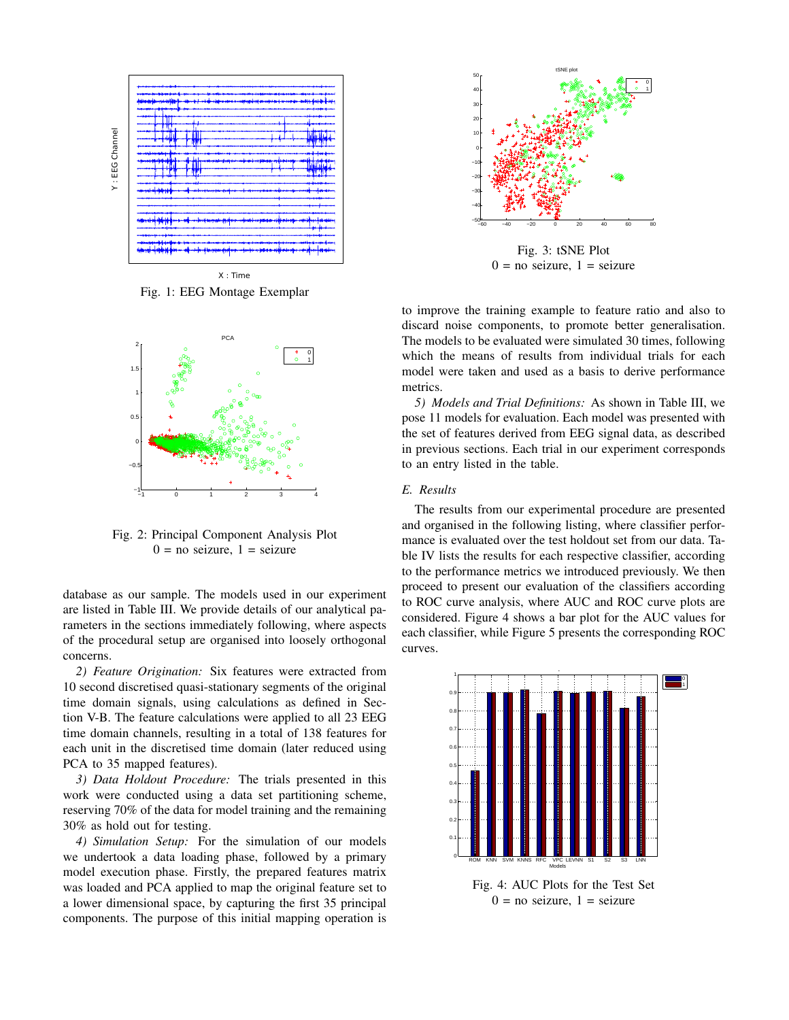

X : Time Fig. 1: EEG Montage Exemplar



Fig. 2: Principal Component Analysis Plot  $0 = no$  seizure,  $1 =$  seizure

database as our sample. The models used in our experiment are listed in Table III. We provide details of our analytical parameters in the sections immediately following, where aspects of the procedural setup are organised into loosely orthogonal concerns.

*2) Feature Origination:* Six features were extracted from 10 second discretised quasi-stationary segments of the original time domain signals, using calculations as defined in Section V-B. The feature calculations were applied to all 23 EEG time domain channels, resulting in a total of 138 features for each unit in the discretised time domain (later reduced using PCA to 35 mapped features).

*3) Data Holdout Procedure:* The trials presented in this work were conducted using a data set partitioning scheme, reserving 70% of the data for model training and the remaining 30% as hold out for testing.

*4) Simulation Setup:* For the simulation of our models we undertook a data loading phase, followed by a primary model execution phase. Firstly, the prepared features matrix was loaded and PCA applied to map the original feature set to a lower dimensional space, by capturing the first 35 principal components. The purpose of this initial mapping operation is



Fig. 3: tSNE Plot  $0 =$  no seizure,  $1 =$  seizure

which the means of results from individual trials for each to improve the training example to feature ratio and also to discard noise components, to promote better generalisation. The models to be evaluated were simulated 30 times, following model were taken and used as a basis to derive performance metrics.

*5) Models and Trial Definitions:* As shown in Table III, we pose 11 models for evaluation. Each model was presented with the set of features derived from EEG signal data, as described in previous sections. Each trial in our experiment corresponds to an entry listed in the table.

# *E. Results*

The results from our experimental procedure are presented and organised in the following listing, where classifier performance is evaluated over the test holdout set from our data. Table IV lists the results for each respective classifier, according to the performance metrics we introduced previously. We then proceed to present our evaluation of the classifiers according to ROC curve analysis, where AUC and ROC curve plots are considered. Figure 4 shows a bar plot for the AUC values for each classifier, while Figure 5 presents the corresponding ROC curves.



Fig. 4: AUC Plots for the Test Set  $0 = no$  seizure,  $1 =$  seizure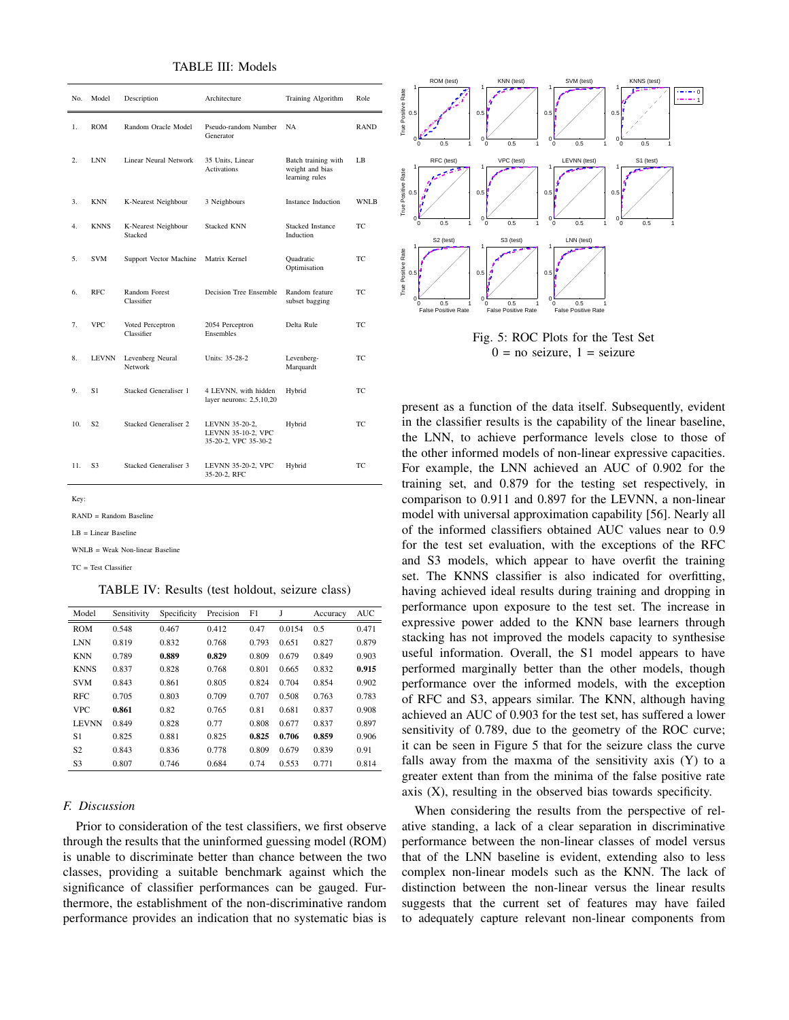TABLE III: Models

| No. | Model          | Description                    | Architecture                                                 | Training Algorithm                                       | Role        |
|-----|----------------|--------------------------------|--------------------------------------------------------------|----------------------------------------------------------|-------------|
| 1.  | <b>ROM</b>     | Random Oracle Model            | Pseudo-random Number<br>Generator                            | NA.                                                      | <b>RAND</b> |
| 2.  | <b>LNN</b>     | Linear Neural Network          | 35 Units, Linear<br><b>Activations</b>                       | Batch training with<br>weight and bias<br>learning rules | LB          |
| 3.  | <b>KNN</b>     | K-Nearest Neighbour            | 3 Neighbours                                                 | Instance Induction                                       | WNLB        |
| 4.  | <b>KNNS</b>    | K-Nearest Neighbour<br>Stacked | <b>Stacked KNN</b>                                           | <b>Stacked Instance</b><br>Induction                     | TC          |
| 5.  | <b>SVM</b>     | Support Vector Machine         | Matrix Kernel                                                | Quadratic<br>Optimisation                                | TC          |
| 6.  | RFC.           | Random Forest<br>Classifier    | Decision Tree Ensemble                                       | Random feature<br>subset bagging                         | TC.         |
| 7.  | <b>VPC</b>     | Voted Perceptron<br>Classifier | 2054 Perceptron<br><b>Ensembles</b>                          | Delta Rule                                               | TC          |
| 8.  | <b>LEVNN</b>   | Levenberg Neural<br>Network    | Units: 35-28-2                                               | Levenberg-<br>Marquardt                                  | TC          |
| 9.  | S1             | Stacked Generaliser 1          | 4 LEVNN, with hidden<br>layer neurons: 2,5,10,20             | Hybrid                                                   | TC          |
| 10. | S <sub>2</sub> | Stacked Generaliser 2          | LEVNN 35-20-2,<br>LEVNN 35-10-2, VPC<br>35-20-2, VPC 35-30-2 | Hybrid                                                   | TC.         |
| 11. | S <sub>3</sub> | Stacked Generaliser 3          | LEVNN 35-20-2, VPC<br>35-20-2, RFC                           | Hybrid                                                   | TC          |

Key

RAND = Random Baseline

LB = Linear Baseline

 $WNI.B = Weak Non-linear Baselin$ 

TC = Test Classifier

TABLE IV: Results (test holdout, seizure class)

| Model          | Sensitivity | Specificity | Precision | F1    | J      | Accuracy | <b>AUC</b> |
|----------------|-------------|-------------|-----------|-------|--------|----------|------------|
| <b>ROM</b>     | 0.548       | 0.467       | 0.412     | 0.47  | 0.0154 | 0.5      | 0.471      |
| <b>LNN</b>     | 0.819       | 0.832       | 0.768     | 0.793 | 0.651  | 0.827    | 0.879      |
| <b>KNN</b>     | 0.789       | 0.889       | 0.829     | 0.809 | 0.679  | 0.849    | 0.903      |
| <b>KNNS</b>    | 0.837       | 0.828       | 0.768     | 0.801 | 0.665  | 0.832    | 0.915      |
| <b>SVM</b>     | 0.843       | 0.861       | 0.805     | 0.824 | 0.704  | 0.854    | 0.902      |
| <b>RFC</b>     | 0.705       | 0.803       | 0.709     | 0.707 | 0.508  | 0.763    | 0.783      |
| <b>VPC</b>     | 0.861       | 0.82        | 0.765     | 0.81  | 0.681  | 0.837    | 0.908      |
| <b>LEVNN</b>   | 0.849       | 0.828       | 0.77      | 0.808 | 0.677  | 0.837    | 0.897      |
| S1             | 0.825       | 0.881       | 0.825     | 0.825 | 0.706  | 0.859    | 0.906      |
| S <sub>2</sub> | 0.843       | 0.836       | 0.778     | 0.809 | 0.679  | 0.839    | 0.91       |
| S <sub>3</sub> | 0.807       | 0.746       | 0.684     | 0.74  | 0.553  | 0.771    | 0.814      |

## *F. Discussion*

Prior to consideration of the test classifiers, we first observe through the results that the uninformed guessing model (ROM) is unable to discriminate better than chance between the two classes, providing a suitable benchmark against which the significance of classifier performances can be gauged. Furthermore, the establishment of the non-discriminative random performance provides an indication that no systematic bias is



Fig. 5: ROC Plots for the Test Set  $0 = no$  seizure,  $1 =$  seizure

in the classifier results is the capability of the linear baseline, present as a function of the data itself. Subsequently, evident the LNN, to achieve performance levels close to those of the other informed models of non-linear expressive capacities. For example, the LNN achieved an AUC of 0.902 for the training set, and 0.879 for the testing set respectively, in comparison to 0.911 and 0.897 for the LEVNN, a non-linear model with universal approximation capability [56]. Nearly all of the informed classifiers obtained AUC values near to 0.9 for the test set evaluation, with the exceptions of the RFC and S3 models, which appear to have overfit the training set. The KNNS classifier is also indicated for overfitting, having achieved ideal results during training and dropping in performance upon exposure to the test set. The increase in expressive power added to the KNN base learners through stacking has not improved the models capacity to synthesise useful information. Overall, the S1 model appears to have performed marginally better than the other models, though performance over the informed models, with the exception of RFC and S3, appears similar. The KNN, although having achieved an AUC of 0.903 for the test set, has suffered a lower sensitivity of 0.789, due to the geometry of the ROC curve; it can be seen in Figure 5 that for the seizure class the curve falls away from the maxma of the sensitivity axis (Y) to a greater extent than from the minima of the false positive rate axis (X), resulting in the observed bias towards specificity.

When considering the results from the perspective of relative standing, a lack of a clear separation in discriminative performance between the non-linear classes of model versus that of the LNN baseline is evident, extending also to less complex non-linear models such as the KNN. The lack of distinction between the non-linear versus the linear results suggests that the current set of features may have failed to adequately capture relevant non-linear components from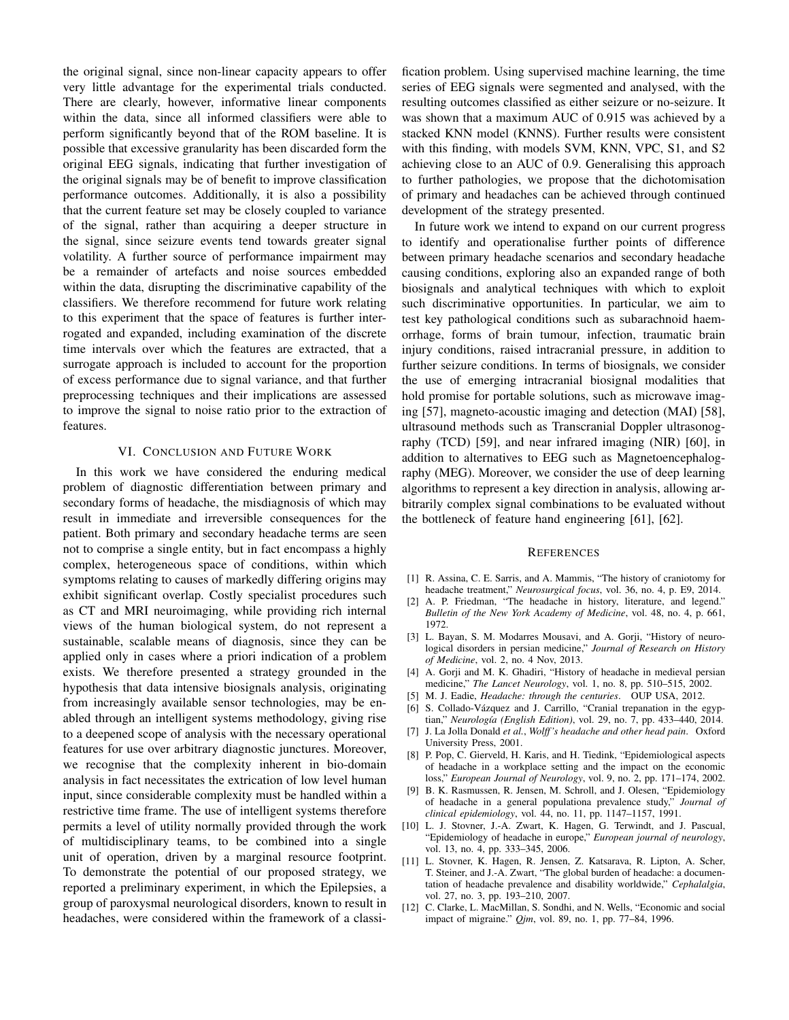the original signal, since non-linear capacity appears to offer very little advantage for the experimental trials conducted. There are clearly, however, informative linear components within the data, since all informed classifiers were able to perform significantly beyond that of the ROM baseline. It is possible that excessive granularity has been discarded form the original EEG signals, indicating that further investigation of the original signals may be of benefit to improve classification performance outcomes. Additionally, it is also a possibility that the current feature set may be closely coupled to variance of the signal, rather than acquiring a deeper structure in the signal, since seizure events tend towards greater signal volatility. A further source of performance impairment may be a remainder of artefacts and noise sources embedded within the data, disrupting the discriminative capability of the classifiers. We therefore recommend for future work relating to this experiment that the space of features is further interrogated and expanded, including examination of the discrete time intervals over which the features are extracted, that a surrogate approach is included to account for the proportion of excess performance due to signal variance, and that further preprocessing techniques and their implications are assessed to improve the signal to noise ratio prior to the extraction of features.

#### VI. CONCLUSION AND FUTURE WORK

In this work we have considered the enduring medical problem of diagnostic differentiation between primary and secondary forms of headache, the misdiagnosis of which may result in immediate and irreversible consequences for the patient. Both primary and secondary headache terms are seen not to comprise a single entity, but in fact encompass a highly complex, heterogeneous space of conditions, within which symptoms relating to causes of markedly differing origins may exhibit significant overlap. Costly specialist procedures such as CT and MRI neuroimaging, while providing rich internal views of the human biological system, do not represent a sustainable, scalable means of diagnosis, since they can be applied only in cases where a priori indication of a problem exists. We therefore presented a strategy grounded in the hypothesis that data intensive biosignals analysis, originating from increasingly available sensor technologies, may be enabled through an intelligent systems methodology, giving rise to a deepened scope of analysis with the necessary operational features for use over arbitrary diagnostic junctures. Moreover, we recognise that the complexity inherent in bio-domain analysis in fact necessitates the extrication of low level human input, since considerable complexity must be handled within a restrictive time frame. The use of intelligent systems therefore permits a level of utility normally provided through the work of multidisciplinary teams, to be combined into a single unit of operation, driven by a marginal resource footprint. To demonstrate the potential of our proposed strategy, we reported a preliminary experiment, in which the Epilepsies, a group of paroxysmal neurological disorders, known to result in headaches, were considered within the framework of a classi-

fication problem. Using supervised machine learning, the time series of EEG signals were segmented and analysed, with the resulting outcomes classified as either seizure or no-seizure. It was shown that a maximum AUC of 0.915 was achieved by a stacked KNN model (KNNS). Further results were consistent with this finding, with models SVM, KNN, VPC, S1, and S2 achieving close to an AUC of 0.9. Generalising this approach to further pathologies, we propose that the dichotomisation of primary and headaches can be achieved through continued development of the strategy presented.

In future work we intend to expand on our current progress to identify and operationalise further points of difference between primary headache scenarios and secondary headache causing conditions, exploring also an expanded range of both biosignals and analytical techniques with which to exploit such discriminative opportunities. In particular, we aim to test key pathological conditions such as subarachnoid haemorrhage, forms of brain tumour, infection, traumatic brain injury conditions, raised intracranial pressure, in addition to further seizure conditions. In terms of biosignals, we consider the use of emerging intracranial biosignal modalities that hold promise for portable solutions, such as microwave imaging [57], magneto-acoustic imaging and detection (MAI) [58], ultrasound methods such as Transcranial Doppler ultrasonography (TCD) [59], and near infrared imaging (NIR) [60], in addition to alternatives to EEG such as Magnetoencephalography (MEG). Moreover, we consider the use of deep learning algorithms to represent a key direction in analysis, allowing arbitrarily complex signal combinations to be evaluated without the bottleneck of feature hand engineering [61], [62].

#### **REFERENCES**

- [1] R. Assina, C. E. Sarris, and A. Mammis, "The history of craniotomy for headache treatment," *Neurosurgical focus*, vol. 36, no. 4, p. E9, 2014.
- [2] A. P. Friedman, "The headache in history, literature, and legend." *Bulletin of the New York Academy of Medicine*, vol. 48, no. 4, p. 661, 1972.
- [3] L. Bayan, S. M. Modarres Mousavi, and A. Gorji, "History of neurological disorders in persian medicine," *Journal of Research on History of Medicine*, vol. 2, no. 4 Nov, 2013.
- [4] A. Gorji and M. K. Ghadiri, "History of headache in medieval persian medicine," *The Lancet Neurology*, vol. 1, no. 8, pp. 510–515, 2002.
- [5] M. J. Eadie, *Headache: through the centuries*. OUP USA, 2012.
- [6] S. Collado-Vázquez and J. Carrillo, "Cranial trepanation in the egyptian," *Neurología (English Edition)*, vol. 29, no. 7, pp. 433-440, 2014.
- [7] J. La Jolla Donald *et al.*, *Wolff 's headache and other head pain*. Oxford University Press, 2001.
- [8] P. Pop, C. Gierveld, H. Karis, and H. Tiedink, "Epidemiological aspects of headache in a workplace setting and the impact on the economic loss," *European Journal of Neurology*, vol. 9, no. 2, pp. 171–174, 2002.
- [9] B. K. Rasmussen, R. Jensen, M. Schroll, and J. Olesen, "Epidemiology of headache in a general populationa prevalence study," *Journal of clinical epidemiology*, vol. 44, no. 11, pp. 1147–1157, 1991.
- [10] L. J. Stovner, J.-A. Zwart, K. Hagen, G. Terwindt, and J. Pascual, "Epidemiology of headache in europe," *European journal of neurology*, vol. 13, no. 4, pp. 333–345, 2006.
- [11] L. Stovner, K. Hagen, R. Jensen, Z. Katsarava, R. Lipton, A. Scher, T. Steiner, and J.-A. Zwart, "The global burden of headache: a documentation of headache prevalence and disability worldwide," *Cephalalgia*, vol. 27, no. 3, pp. 193–210, 2007.
- [12] C. Clarke, L. MacMillan, S. Sondhi, and N. Wells, "Economic and social impact of migraine." *Qjm*, vol. 89, no. 1, pp. 77–84, 1996.